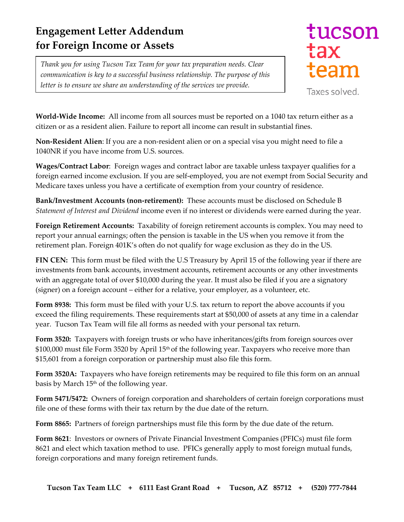## **Engagement Letter Addendum for Foreign Income or Assets**

*Thank you for using Tucson Tax Team for your tax preparation needs. Clear communication is key to a successful business relationship. The purpose of this letter is to ensure we share an understanding of the services we provide.*

## tucson tax team

Taxes solved.

**World-Wide Income:** All income from all sources must be reported on a 1040 tax return either as a citizen or as a resident alien. Failure to report all income can result in substantial fines.

**Non-Resident Alien**: If you are a non-resident alien or on a special visa you might need to file a 1040NR if you have income from U.S. sources.

**Wages/Contract Labor**: Foreign wages and contract labor are taxable unless taxpayer qualifies for a foreign earned income exclusion. If you are self-employed, you are not exempt from Social Security and Medicare taxes unless you have a certificate of exemption from your country of residence.

**Bank/Investment Accounts (non-retirement):** These accounts must be disclosed on Schedule B *Statement of Interest and Dividend* income even if no interest or dividends were earned during the year.

**Foreign Retirement Accounts:** Taxability of foreign retirement accounts is complex. You may need to report your annual earnings; often the pension is taxable in the US when you remove it from the retirement plan. Foreign 401K's often do not qualify for wage exclusion as they do in the US.

**FIN CEN:** This form must be filed with the U.S Treasury by April 15 of the following year if there are investments from bank accounts, investment accounts, retirement accounts or any other investments with an aggregate total of over \$10,000 during the year. It must also be filed if you are a signatory (signer) on a foreign account – either for a relative, your employer, as a volunteer, etc.

**Form 8938:** This form must be filed with your U.S. tax return to report the above accounts if you exceed the filing requirements. These requirements start at \$50,000 of assets at any time in a calendar year. Tucson Tax Team will file all forms as needed with your personal tax return.

**Form 3520:** Taxpayers with foreign trusts or who have inheritances/gifts from foreign sources over \$100,000 must file Form 3520 by April 15<sup>th</sup> of the following year. Taxpayers who receive more than \$15,601 from a foreign corporation or partnership must also file this form.

**Form 3520A:** Taxpayers who have foreign retirements may be required to file this form on an annual basis by March 15<sup>th</sup> of the following year.

**Form 5471/5472:** Owners of foreign corporation and shareholders of certain foreign corporations must file one of these forms with their tax return by the due date of the return.

**Form 8865:** Partners of foreign partnerships must file this form by the due date of the return.

**Form 8621**: Investors or owners of Private Financial Investment Companies (PFICs) must file form 8621 and elect which taxation method to use. PFICs generally apply to most foreign mutual funds, foreign corporations and many foreign retirement funds.